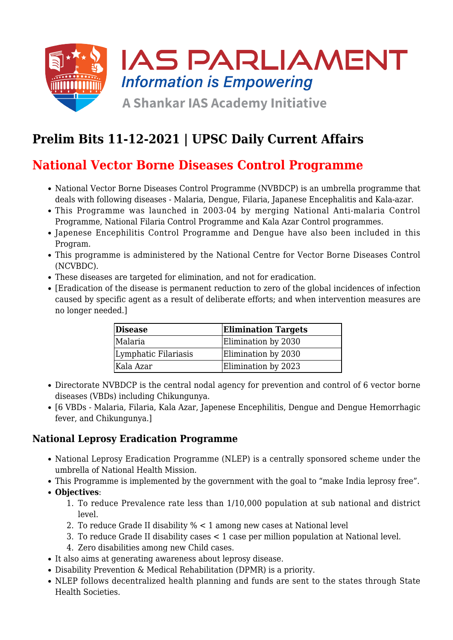

## **Prelim Bits 11-12-2021 | UPSC Daily Current Affairs**

## **National Vector Borne Diseases Control Programme**

- National Vector Borne Diseases Control Programme (NVBDCP) is an umbrella programme that deals with following diseases - Malaria, Dengue, Filaria, Japanese Encephalitis and Kala-azar.
- This Programme was launched in 2003-04 by merging National Anti-malaria Control Programme, National Filaria Control Programme and Kala Azar Control programmes.
- Japenese Encephilitis Control Programme and Dengue have also been included in this Program.
- This programme is administered by the National Centre for Vector Borne Diseases Control (NCVBDC).
- These diseases are targeted for elimination, and not for eradication.
- [Eradication of the disease is permanent reduction to zero of the global incidences of infection caused by specific agent as a result of deliberate efforts; and when intervention measures are no longer needed.]

| <b>Disease</b>       | <b>Elimination Targets</b> |
|----------------------|----------------------------|
| Malaria              | Elimination by 2030        |
| Lymphatic Filariasis | Elimination by 2030        |
| Kala Azar            | Elimination by 2023        |

- Directorate NVBDCP is the central nodal agency for prevention and control of 6 vector borne diseases (VBDs) including Chikungunya.
- [6 VBDs Malaria, Filaria, Kala Azar, Japenese Encephilitis, Dengue and Dengue Hemorrhagic fever, and Chikungunya.]

### **National Leprosy Eradication Programme**

- National Leprosy Eradication Programme (NLEP) is a centrally sponsored scheme under the umbrella of National Health Mission.
- This Programme is implemented by the government with the goal to "make India leprosy free".
- **Objectives**:
	- 1. To reduce Prevalence rate less than 1/10,000 population at sub national and district level.
	- 2. To reduce Grade II disability % < 1 among new cases at National level
	- 3. To reduce Grade II disability cases < 1 case per million population at National level.
	- 4. Zero disabilities among new Child cases.
- It also aims at generating awareness about leprosy disease.
- Disability Prevention & Medical Rehabilitation (DPMR) is a priority.
- NLEP follows decentralized health planning and funds are sent to the states through State Health Societies.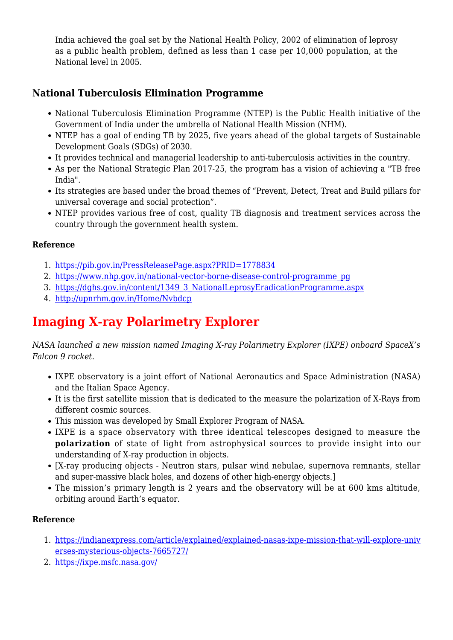India achieved the goal set by the National Health Policy, 2002 of elimination of leprosy as a public health problem, defined as less than 1 case per 10,000 population, at the National level in 2005.

## **National Tuberculosis Elimination Programme**

- National Tuberculosis Elimination Programme (NTEP) is the Public Health initiative of the Government of India under the umbrella of National Health Mission (NHM).
- NTEP has a goal of ending TB by 2025, five years ahead of the global targets of Sustainable Development Goals (SDGs) of 2030.
- It provides technical and managerial leadership to anti-tuberculosis activities in the country.
- As per the National Strategic Plan 2017-25, the program has a vision of achieving a "TB free India".
- Its strategies are based under the broad themes of "Prevent, Detect, Treat and Build pillars for universal coverage and social protection".
- NTEP provides various free of cost, quality TB diagnosis and treatment services across the country through the government health system.

#### **Reference**

- 1. <https://pib.gov.in/PressReleasePage.aspx?PRID=1778834>
- 2. [https://www.nhp.gov.in/national-vector-borne-disease-control-programme\\_pg](https://www.nhp.gov.in/national-vector-borne-disease-control-programme_pg)
- 3. [https://dghs.gov.in/content/1349\\_3\\_NationalLeprosyEradicationProgramme.aspx](https://dghs.gov.in/content/1349_3_NationalLeprosyEradicationProgramme.aspx)
- 4. <http://upnrhm.gov.in/Home/Nvbdcp>

# **Imaging X-ray Polarimetry Explorer**

*NASA launched a new mission named Imaging X-ray Polarimetry Explorer (IXPE) onboard SpaceX's Falcon 9 rocket.*

- IXPE observatory is a joint effort of National Aeronautics and Space Administration (NASA) and the Italian Space Agency.
- It is the first satellite mission that is dedicated to the measure the polarization of X-Rays from different cosmic sources.
- This mission was developed by Small Explorer Program of NASA.
- IXPE is a space observatory with three identical telescopes designed to measure the **polarization** of state of light from astrophysical sources to provide insight into our understanding of X-ray production in objects.
- [X-ray producing objects Neutron stars, pulsar wind nebulae, supernova remnants, stellar and super-massive black holes, and dozens of other high-energy objects.]
- The mission's primary length is 2 years and the observatory will be at 600 kms altitude, orbiting around Earth's equator.

#### **Reference**

- 1. [https://indianexpress.com/article/explained/explained-nasas-ixpe-mission-that-will-explore-univ](https://indianexpress.com/article/explained/explained-nasas-ixpe-mission-that-will-explore-universes-mysterious-objects-7665727/) [erses-mysterious-objects-7665727/](https://indianexpress.com/article/explained/explained-nasas-ixpe-mission-that-will-explore-universes-mysterious-objects-7665727/)
- 2. <https://ixpe.msfc.nasa.gov/>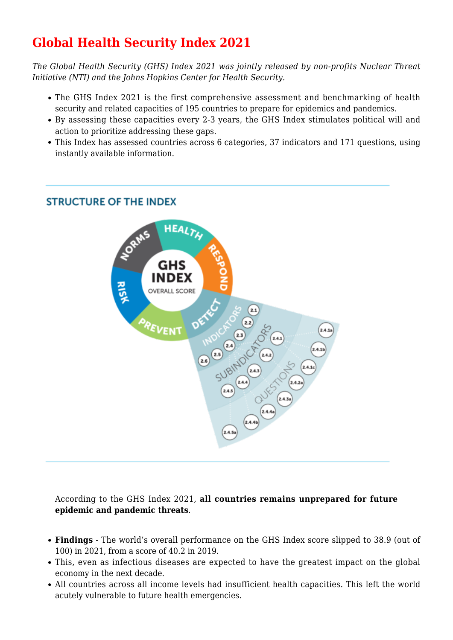# **Global Health Security Index 2021**

*The Global Health Security (GHS) Index 2021 was jointly released by non-profits Nuclear Threat Initiative (NTI) and the Johns Hopkins Center for Health Security.*

- The GHS Index 2021 is the first comprehensive assessment and benchmarking of health security and related capacities of 195 countries to prepare for epidemics and pandemics.
- By assessing these capacities every 2-3 years, the GHS Index stimulates political will and action to prioritize addressing these gaps.
- This Index has assessed countries across 6 categories, 37 indicators and 171 questions, using instantly available information.

### **STRUCTURE OF THE INDEX**



According to the GHS Index 2021, **all countries remains unprepared for future epidemic and pandemic threats**.

- **Findings** The world's overall performance on the GHS Index score slipped to 38.9 (out of 100) in 2021, from a score of 40.2 in 2019.
- This, even as infectious diseases are expected to have the greatest impact on the global economy in the next decade.
- All countries across all income levels had insufficient health capacities. This left the world acutely vulnerable to future health emergencies.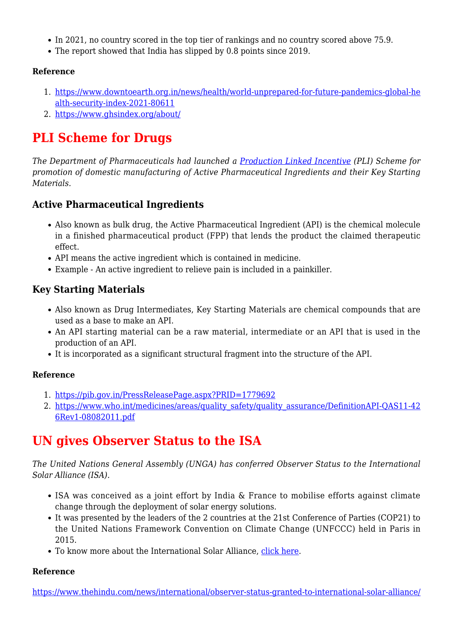- In 2021, no country scored in the top tier of rankings and no country scored above 75.9.
- The report showed that India has slipped by 0.8 points since 2019.

#### **Reference**

- 1. [https://www.downtoearth.org.in/news/health/world-unprepared-for-future-pandemics-global-he](https://www.downtoearth.org.in/news/health/world-unprepared-for-future-pandemics-global-health-security-index-2021-80611) [alth-security-index-2021-80611](https://www.downtoearth.org.in/news/health/world-unprepared-for-future-pandemics-global-health-security-index-2021-80611)
- 2. <https://www.ghsindex.org/about/>

## **PLI Scheme for Drugs**

*The Department of Pharmaceuticals had launched a [Production Linked Incentive](https://www.iasparliament.com/current-affairs/pli-scheme) (PLI) Scheme for promotion of domestic manufacturing of Active Pharmaceutical Ingredients and their Key Starting Materials.*

### **Active Pharmaceutical Ingredients**

- Also known as bulk drug, the Active Pharmaceutical Ingredient (API) is the chemical molecule in a finished pharmaceutical product (FPP) that lends the product the claimed therapeutic effect.
- API means the active ingredient which is contained in medicine.
- Example An active ingredient to relieve pain is included in a painkiller.

### **Key Starting Materials**

- Also known as Drug Intermediates, Key Starting Materials are chemical compounds that are used as a base to make an API.
- An API starting material can be a raw material, intermediate or an API that is used in the production of an API.
- It is incorporated as a significant structural fragment into the structure of the API.

#### **Reference**

- 1. <https://pib.gov.in/PressReleasePage.aspx?PRID=1779692>
- 2. [https://www.who.int/medicines/areas/quality\\_safety/quality\\_assurance/DefinitionAPI-QAS11-42](https://www.who.int/medicines/areas/quality_safety/quality_assurance/DefinitionAPI-QAS11-426Rev1-08082011.pdf) [6Rev1-08082011.pdf](https://www.who.int/medicines/areas/quality_safety/quality_assurance/DefinitionAPI-QAS11-426Rev1-08082011.pdf)

## **UN gives Observer Status to the ISA**

*The United Nations General Assembly (UNGA) has conferred Observer Status to the International Solar Alliance (ISA).*

- ISA was conceived as a joint effort by India & France to mobilise efforts against climate change through the deployment of solar energy solutions.
- It was presented by the leaders of the 2 countries at the 21st Conference of Parties (COP21) to the United Nations Framework Convention on Climate Change (UNFCCC) held in Paris in 2015.
- To know more about the International Solar Alliance, [click here.](https://www.iasparliament.com/article/international-solar-alliance)

#### **Reference**

[https://www.thehindu.com/news/international/observer-status-granted-to-international-solar-alliance/](https://www.thehindu.com/news/international/observer-status-granted-to-international-solar-alliance/article37927868.ece)